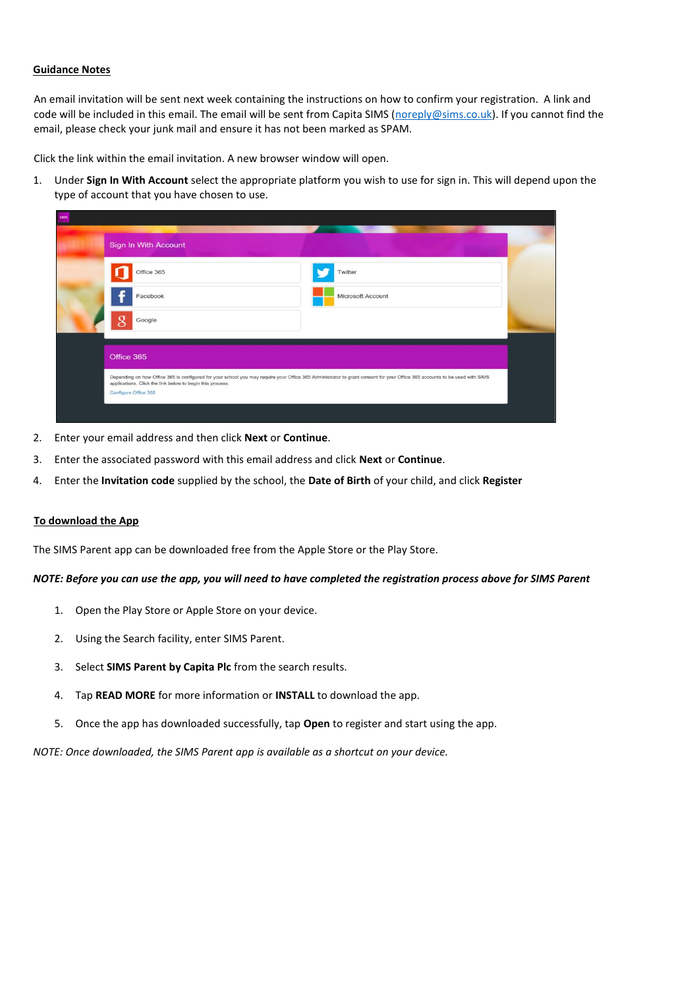## **Guidance Notes**

An email invitation will be sent next week containing the instructions on how to confirm your registration. A link and code will be included in this email. The email will be sent from Capita SIMS [\(noreply@sims.co.uk\)](mailto:noreply@sims.co.uk). If you cannot find the email, please check your junk mail and ensure it has not been marked as SPAM.

Click the link within the email invitation. A new browser window will open.

1. Under **Sign In With Account** select the appropriate platform you wish to use for sign in. This will depend upon the type of account that you have chosen to use.

| <b>SIMS</b> |                                                                                                                                                                                                                                         | <b>Commercial Commercial Commercial</b> |  |
|-------------|-----------------------------------------------------------------------------------------------------------------------------------------------------------------------------------------------------------------------------------------|-----------------------------------------|--|
|             | Sign In With Account                                                                                                                                                                                                                    |                                         |  |
|             | Office 365                                                                                                                                                                                                                              | Twitter                                 |  |
|             | Facebook                                                                                                                                                                                                                                | Microsoft Account                       |  |
|             | Google                                                                                                                                                                                                                                  |                                         |  |
|             | Office 365                                                                                                                                                                                                                              |                                         |  |
|             | Depending on how Office 365 is configured for your school you may require your Office 365 Administrator to grant consent for your Office 365 accounts to be used with SIMS<br>applications. Click the link below to begin this process. |                                         |  |
|             | Configure Office 365                                                                                                                                                                                                                    |                                         |  |
|             |                                                                                                                                                                                                                                         |                                         |  |

- 2. Enter your email address and then click **Next** or **Continue**.
- 3. Enter the associated password with this email address and click **Next** or **Continue**.
- 4. Enter the **Invitation code** supplied by the school, the **Date of Birth** of your child, and click **Register**

#### **To download the App**

The SIMS Parent app can be downloaded free from the Apple Store or the Play Store.

#### *NOTE: Before you can use the app, you will need to have completed the registration process above for SIMS Parent*

- 1. Open the Play Store or Apple Store on your device.
- 2. Using the Search facility, enter SIMS Parent.
- 3. Select **SIMS Parent by Capita Plc** from the search results.
- 4. Tap **READ MORE** for more information or **INSTALL** to download the app.
- 5. Once the app has downloaded successfully, tap **Open** to register and start using the app.

*NOTE: Once downloaded, the SIMS Parent app is available as a shortcut on your device.*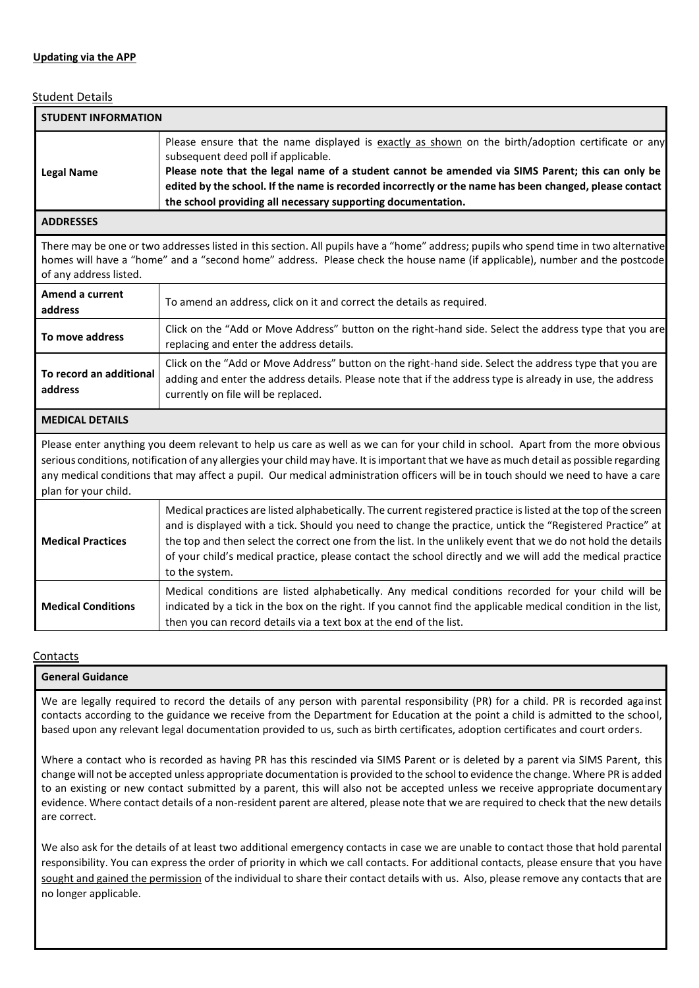## Student Details

| <b>STUDENT INFORMATION</b>                                                                                                                                                                                                                                                                                                                                                                                                                |                                                                                                                                                                                                                                                                                                                                                                                                                                                                             |  |  |  |
|-------------------------------------------------------------------------------------------------------------------------------------------------------------------------------------------------------------------------------------------------------------------------------------------------------------------------------------------------------------------------------------------------------------------------------------------|-----------------------------------------------------------------------------------------------------------------------------------------------------------------------------------------------------------------------------------------------------------------------------------------------------------------------------------------------------------------------------------------------------------------------------------------------------------------------------|--|--|--|
| <b>Legal Name</b>                                                                                                                                                                                                                                                                                                                                                                                                                         | Please ensure that the name displayed is exactly as shown on the birth/adoption certificate or any<br>subsequent deed poll if applicable.<br>Please note that the legal name of a student cannot be amended via SIMS Parent; this can only be<br>edited by the school. If the name is recorded incorrectly or the name has been changed, please contact<br>the school providing all necessary supporting documentation.                                                     |  |  |  |
| <b>ADDRESSES</b>                                                                                                                                                                                                                                                                                                                                                                                                                          |                                                                                                                                                                                                                                                                                                                                                                                                                                                                             |  |  |  |
| There may be one or two addresses listed in this section. All pupils have a "home" address; pupils who spend time in two alternative<br>homes will have a "home" and a "second home" address. Please check the house name (if applicable), number and the postcode<br>of any address listed.                                                                                                                                              |                                                                                                                                                                                                                                                                                                                                                                                                                                                                             |  |  |  |
| Amend a current<br>address                                                                                                                                                                                                                                                                                                                                                                                                                | To amend an address, click on it and correct the details as required.                                                                                                                                                                                                                                                                                                                                                                                                       |  |  |  |
| To move address                                                                                                                                                                                                                                                                                                                                                                                                                           | Click on the "Add or Move Address" button on the right-hand side. Select the address type that you are<br>replacing and enter the address details.                                                                                                                                                                                                                                                                                                                          |  |  |  |
| To record an additional<br>address                                                                                                                                                                                                                                                                                                                                                                                                        | Click on the "Add or Move Address" button on the right-hand side. Select the address type that you are<br>adding and enter the address details. Please note that if the address type is already in use, the address<br>currently on file will be replaced.                                                                                                                                                                                                                  |  |  |  |
| <b>MEDICAL DETAILS</b>                                                                                                                                                                                                                                                                                                                                                                                                                    |                                                                                                                                                                                                                                                                                                                                                                                                                                                                             |  |  |  |
| Please enter anything you deem relevant to help us care as well as we can for your child in school. Apart from the more obvious<br>serious conditions, notification of any allergies your child may have. It is important that we have as much detail as possible regarding<br>any medical conditions that may affect a pupil. Our medical administration officers will be in touch should we need to have a care<br>plan for your child. |                                                                                                                                                                                                                                                                                                                                                                                                                                                                             |  |  |  |
| <b>Medical Practices</b>                                                                                                                                                                                                                                                                                                                                                                                                                  | Medical practices are listed alphabetically. The current registered practice is listed at the top of the screen<br>and is displayed with a tick. Should you need to change the practice, untick the "Registered Practice" at<br>the top and then select the correct one from the list. In the unlikely event that we do not hold the details<br>of your child's medical practice, please contact the school directly and we will add the medical practice<br>to the system. |  |  |  |
| <b>Medical Conditions</b>                                                                                                                                                                                                                                                                                                                                                                                                                 | Medical conditions are listed alphabetically. Any medical conditions recorded for your child will be<br>indicated by a tick in the box on the right. If you cannot find the applicable medical condition in the list,<br>then you can record details via a text box at the end of the list.                                                                                                                                                                                 |  |  |  |

#### **Contacts**

# **General Guidance**

We are legally required to record the details of any person with parental responsibility (PR) for a child. PR is recorded against contacts according to the guidance we receive from the Department for Education at the point a child is admitted to the school, based upon any relevant legal documentation provided to us, such as birth certificates, adoption certificates and court orders.

Where a contact who is recorded as having PR has this rescinded via SIMS Parent or is deleted by a parent via SIMS Parent, this change will not be accepted unless appropriate documentation is provided to the school to evidence the change. Where PR is added to an existing or new contact submitted by a parent, this will also not be accepted unless we receive appropriate documentary evidence. Where contact details of a non-resident parent are altered, please note that we are required to check that the new details are correct.

We also ask for the details of at least two additional emergency contacts in case we are unable to contact those that hold parental responsibility. You can express the order of priority in which we call contacts. For additional contacts, please ensure that you have sought and gained the permission of the individual to share their contact details with us. Also, please remove any contacts that are no longer applicable.